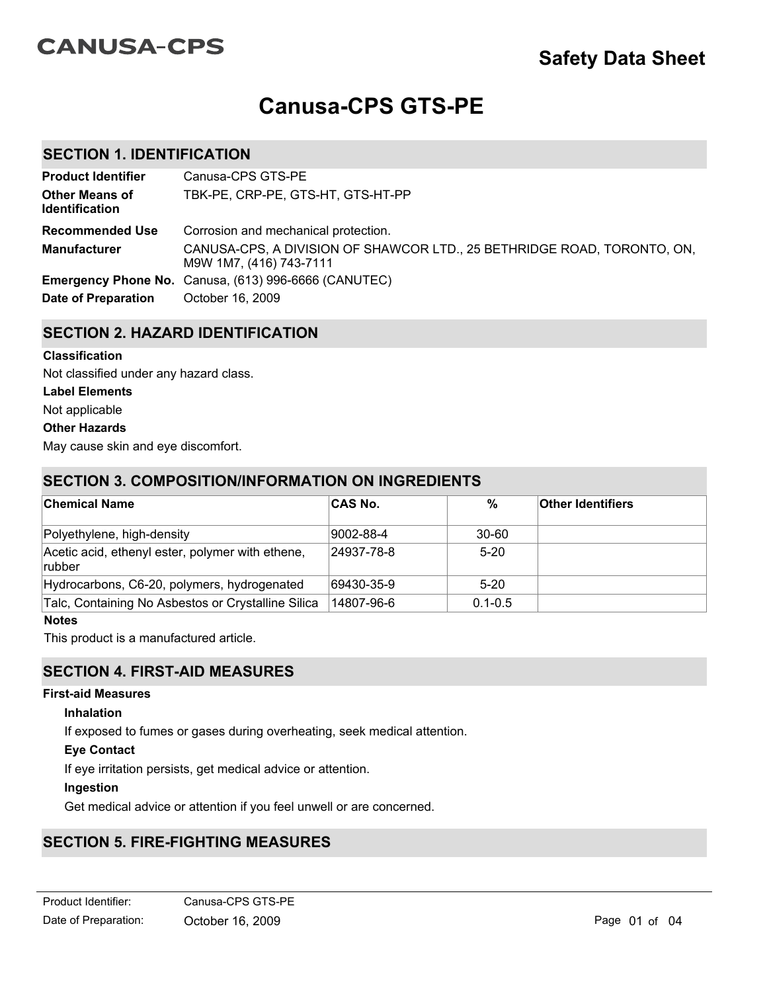# **CANUSA-CPS**

# **Safety Data Sheet**

# **Canusa-CPS GTS-PE**

# **SECTION 1. IDENTIFICATION**

| <b>Product Identifier</b>                      | Canusa-CPS GTS-PE                                                                                  |
|------------------------------------------------|----------------------------------------------------------------------------------------------------|
| <b>Other Means of</b><br><b>Identification</b> | TBK-PE, CRP-PE, GTS-HT, GTS-HT-PP                                                                  |
| <b>Recommended Use</b>                         | Corrosion and mechanical protection.                                                               |
| <b>Manufacturer</b>                            | CANUSA-CPS, A DIVISION OF SHAWCOR LTD., 25 BETHRIDGE ROAD, TORONTO, ON,<br>M9W 1M7, (416) 743-7111 |
|                                                | Emergency Phone No. Canusa, (613) 996-6666 (CANUTEC)                                               |
| <b>Date of Preparation</b>                     | October 16, 2009                                                                                   |

# **SECTION 2. HAZARD IDENTIFICATION**

#### **Classification**

Not classified under any hazard class.

#### **Label Elements**

Not applicable

#### **Other Hazards**

May cause skin and eye discomfort.

# **SECTION 3. COMPOSITION/INFORMATION ON INGREDIENTS**

| <b>Chemical Name</b>                                        | <b>CAS No.</b> | $\%$        | <b>Other Identifiers</b> |
|-------------------------------------------------------------|----------------|-------------|--------------------------|
| Polyethylene, high-density                                  | 9002-88-4      | $30 - 60$   |                          |
| Acetic acid, ethenyl ester, polymer with ethene,<br> rubber | 24937-78-8     | $5 - 20$    |                          |
| Hydrocarbons, C6-20, polymers, hydrogenated                 | 69430-35-9     | $5-20$      |                          |
| Talc, Containing No Asbestos or Crystalline Silica          | 14807-96-6     | $0.1 - 0.5$ |                          |

## **Notes**

This product is a manufactured article.

# **SECTION 4. FIRST-AID MEASURES**

## **First-aid Measures**

#### **Inhalation**

If exposed to fumes or gases during overheating, seek medical attention.

## **Eye Contact**

If eye irritation persists, get medical advice or attention.

## **Ingestion**

Get medical advice or attention if you feel unwell or are concerned.

# **SECTION 5. FIRE-FIGHTING MEASURES**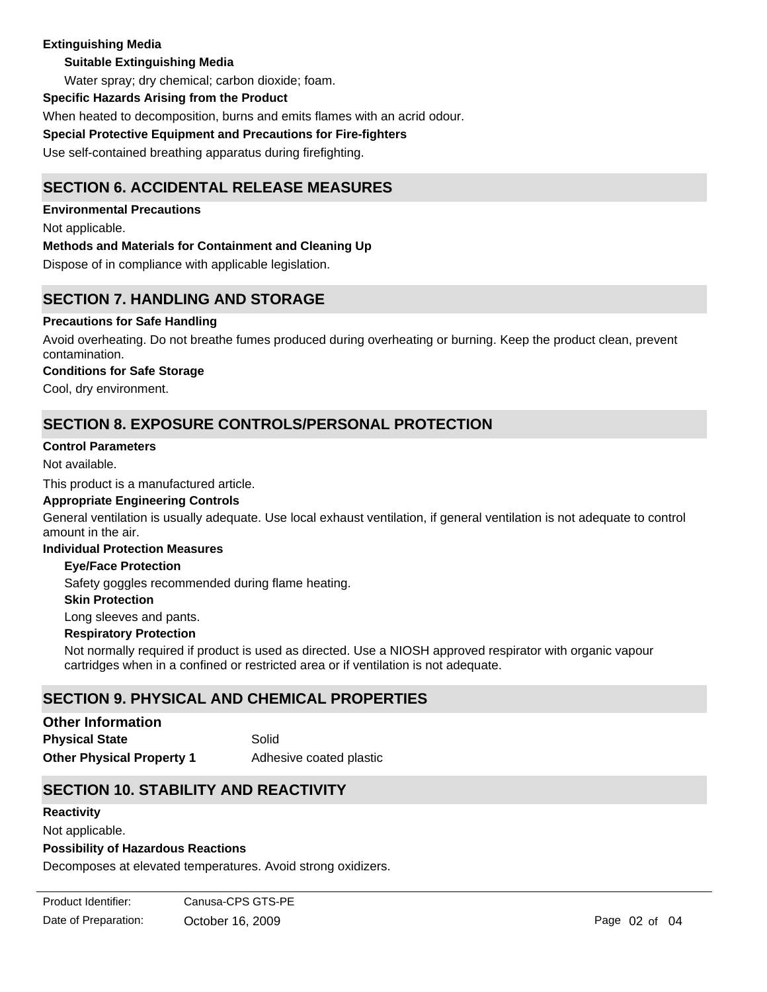## **Extinguishing Media**

## **Suitable Extinguishing Media**

Water spray; dry chemical; carbon dioxide; foam.

#### **Specific Hazards Arising from the Product**

When heated to decomposition, burns and emits flames with an acrid odour.

**Special Protective Equipment and Precautions for Fire-fighters**

Use self-contained breathing apparatus during firefighting.

# **SECTION 6. ACCIDENTAL RELEASE MEASURES**

**Environmental Precautions** Not applicable. **Methods and Materials for Containment and Cleaning Up** Dispose of in compliance with applicable legislation.

# **SECTION 7. HANDLING AND STORAGE**

## **Precautions for Safe Handling**

Avoid overheating. Do not breathe fumes produced during overheating or burning. Keep the product clean, prevent contamination.

#### **Conditions for Safe Storage**

Cool, dry environment.

# **SECTION 8. EXPOSURE CONTROLS/PERSONAL PROTECTION**

#### **Control Parameters**

Not available.

This product is a manufactured article.

#### **Appropriate Engineering Controls**

General ventilation is usually adequate. Use local exhaust ventilation, if general ventilation is not adequate to control amount in the air.

#### **Individual Protection Measures**

#### **Eye/Face Protection**

Safety goggles recommended during flame heating.

#### **Skin Protection**

Long sleeves and pants.

#### **Respiratory Protection**

Not normally required if product is used as directed. Use a NIOSH approved respirator with organic vapour cartridges when in a confined or restricted area or if ventilation is not adequate.

# **SECTION 9. PHYSICAL AND CHEMICAL PROPERTIES**

**Other Physical Property 1** Adhesive coated plastic **Physical State** Solid **Other Information**

## **SECTION 10. STABILITY AND REACTIVITY**

#### **Reactivity**

Not applicable.

## **Possibility of Hazardous Reactions**

Decomposes at elevated temperatures. Avoid strong oxidizers.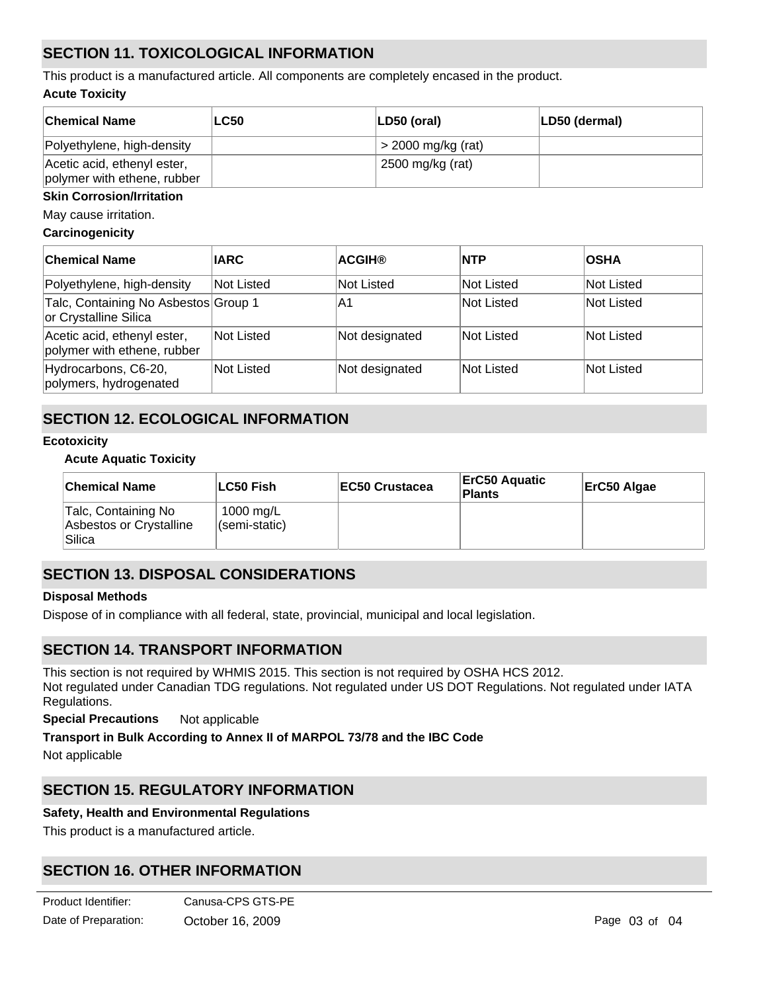# **SECTION 11. TOXICOLOGICAL INFORMATION**

**Acute Toxicity** This product is a manufactured article. All components are completely encased in the product.

| <b>Chemical Name</b>                                       | <b>LC50</b> | $ LD50$ (oral)       | LD50 (dermal) |
|------------------------------------------------------------|-------------|----------------------|---------------|
| Polyethylene, high-density                                 |             | $>$ 2000 mg/kg (rat) |               |
| Acetic acid, ethenyl ester,<br>polymer with ethene, rubber |             | 2500 mg/kg (rat)     |               |

#### **Skin Corrosion/Irritation**

May cause irritation.

#### **Carcinogenicity**

| <b>Chemical Name</b>                                          | <b>IARC</b> | <b>ACGIH®</b>  | <b>INTP</b> | <b>OSHA</b> |
|---------------------------------------------------------------|-------------|----------------|-------------|-------------|
| Polyethylene, high-density                                    | Not Listed  | Not Listed     | Not Listed  | Not Listed  |
| Talc, Containing No Asbestos Group 1<br>or Crystalline Silica |             | ΙA1            | Not Listed  | Not Listed  |
| Acetic acid, ethenyl ester,<br>polymer with ethene, rubber    | Not Listed  | Not designated | lNot Listed | Not Listed  |
| Hydrocarbons, C6-20,<br>polymers, hydrogenated                | Not Listed  | Not designated | Not Listed  | Not Listed  |

# **SECTION 12. ECOLOGICAL INFORMATION**

#### **Ecotoxicity**

#### **Acute Aquatic Toxicity**

| <b>Chemical Name</b>                                     | ∣LC50 Fish                 | <b>IEC50 Crustacea</b> | <b>ErC50 Aquatic</b><br><b>Plants</b> | ErC50 Algae |
|----------------------------------------------------------|----------------------------|------------------------|---------------------------------------|-------------|
| Talc, Containing No<br>Asbestos or Crystalline<br>Silica | 1000 mg/L<br>(semi-static) |                        |                                       |             |

# **SECTION 13. DISPOSAL CONSIDERATIONS**

## **Disposal Methods**

Dispose of in compliance with all federal, state, provincial, municipal and local legislation.

## **SECTION 14. TRANSPORT INFORMATION**

This section is not required by WHMIS 2015. This section is not required by OSHA HCS 2012. Not regulated under Canadian TDG regulations. Not regulated under US DOT Regulations. Not regulated under IATA Regulations.

**Special Precautions** Not applicable

## **Transport in Bulk According to Annex II of MARPOL 73/78 and the IBC Code**

Not applicable

# **SECTION 15. REGULATORY INFORMATION**

## **Safety, Health and Environmental Regulations**

This product is a manufactured article.

# **SECTION 16. OTHER INFORMATION**

| Product Identifier:  | Canusa-CPS GTS-PE |
|----------------------|-------------------|
| Date of Preparation: | October 16, 2009  |